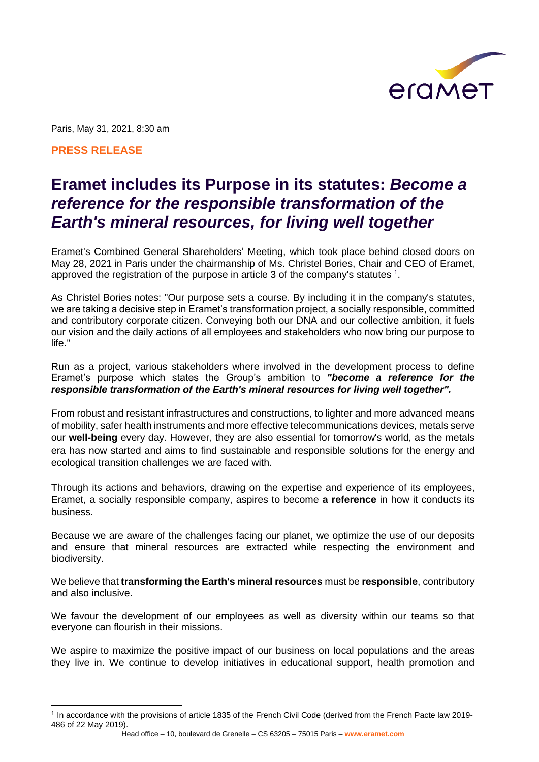

Paris, May 31, 2021, 8:30 am

**PRESS RELEASE**

## **Eramet includes its Purpose in its statutes:** *Become a reference for the responsible transformation of the Earth's mineral resources, for living well together*

Eramet's Combined General Shareholders' Meeting, which took place behind closed doors on May 28, 2021 in Paris under the chairmanship of Ms. Christel Bories, Chair and CEO of Eramet, approved the registration of the purpose in article 3 of the company's statutes  $^1$ .

As Christel Bories notes: "Our purpose sets a course. By including it in the company's statutes, we are taking a decisive step in Eramet's transformation project, a socially responsible, committed and contributory corporate citizen. Conveying both our DNA and our collective ambition, it fuels our vision and the daily actions of all employees and stakeholders who now bring our purpose to life."

Run as a project, various stakeholders where involved in the development process to define Eramet's purpose which states the Group's ambition to *"become a reference for the responsible transformation of the Earth's mineral resources for living well together".*

From robust and resistant infrastructures and constructions, to lighter and more advanced means of mobility, safer health instruments and more effective telecommunications devices, metals serve our **well-being** every day. However, they are also essential for tomorrow's world, as the metals era has now started and aims to find sustainable and responsible solutions for the energy and ecological transition challenges we are faced with.

Through its actions and behaviors, drawing on the expertise and experience of its employees, Eramet, a socially responsible company, aspires to become **a reference** in how it conducts its business.

Because we are aware of the challenges facing our planet, we optimize the use of our deposits and ensure that mineral resources are extracted while respecting the environment and biodiversity.

We believe that **transforming the Earth's mineral resources** must be **responsible**, contributory and also inclusive.

We favour the development of our employees as well as diversity within our teams so that everyone can flourish in their missions.

We aspire to maximize the positive impact of our business on local populations and the areas they live in. We continue to develop initiatives in educational support, health promotion and

<sup>1</sup> In accordance with the provisions of article 1835 of the French Civil Code (derived from the French Pacte law 2019- 486 of 22 May 2019).